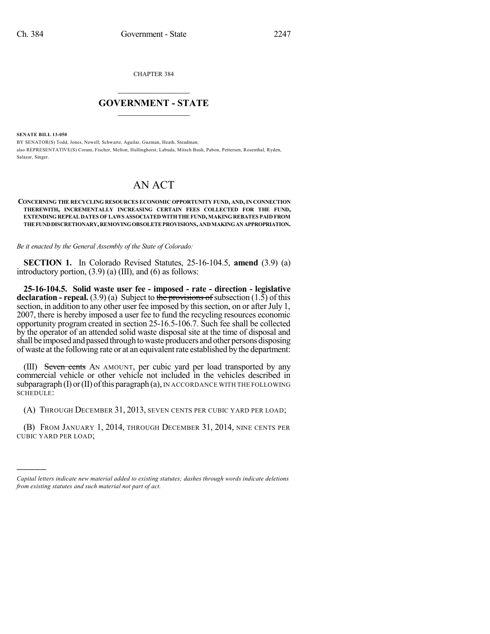CHAPTER 384

## $\mathcal{L}_\text{max}$  . The set of the set of the set of the set of the set of the set of the set of the set of the set of the set of the set of the set of the set of the set of the set of the set of the set of the set of the set **GOVERNMENT - STATE**  $\_$   $\_$   $\_$   $\_$   $\_$   $\_$   $\_$   $\_$   $\_$

**SENATE BILL 13-050**

)))))

BY SENATOR(S) Todd, Jones, Newell, Schwartz, Aguilar, Guzman, Heath, Steadman; also REPRESENTATIVE(S) Coram, Fischer, Melton, Hullinghorst, Labuda, Mitsch Bush, Pabon, Pettersen, Rosenthal, Ryden, Salazar, Singer.

## AN ACT

**CONCERNING THE RECYCLING RESOURCES ECONOMIC OPPORTUNITY FUND, AND,IN CONNECTION THEREWITH, INCREMENTALLY INCREASING CERTAIN FEES COLLECTED FOR THE FUND, EXTENDINGREPEAL DATES OF LAWS ASSOCIATEDWITHTHE FUND,MAKINGREBATES PAID FROM THEFUNDDISCRETIONARY,REMOVINGOBSOLETEPROVISIONS,ANDMAKINGANAPPROPRIATION.**

*Be it enacted by the General Assembly of the State of Colorado:*

**SECTION 1.** In Colorado Revised Statutes, 25-16-104.5, **amend** (3.9) (a) introductory portion,  $(3.9)$  (a) (III), and (6) as follows:

**25-16-104.5. Solid waste user fee - imposed - rate - direction - legislative declaration - repeal.** (3.9) (a) Subject to the provisions of subsection (1.5) of this section, in addition to any other user fee imposed by this section, on or after July 1, 2007, there is hereby imposed a user fee to fund the recycling resources economic opportunity program created in section 25-16.5-106.7. Such fee shall be collected by the operator of an attended solid waste disposal site at the time of disposal and shall be imposed and passed through to waste producers and other persons disposing of waste at the following rate or at an equivalentrate established by the department:

(III) Seven cents AN AMOUNT, per cubic yard per load transported by any commercial vehicle or other vehicle not included in the vehicles described in subparagraph  $(I)$  or  $(II)$  of this paragraph  $(a)$ , IN ACCORDANCE WITH THE FOLLOWING SCHEDULE:

(A) THROUGH DECEMBER 31, 2013, SEVEN CENTS PER CUBIC YARD PER LOAD;

(B) FROM JANUARY 1, 2014, THROUGH DECEMBER 31, 2014, NINE CENTS PER CUBIC YARD PER LOAD;

*Capital letters indicate new material added to existing statutes; dashes through words indicate deletions from existing statutes and such material not part of act.*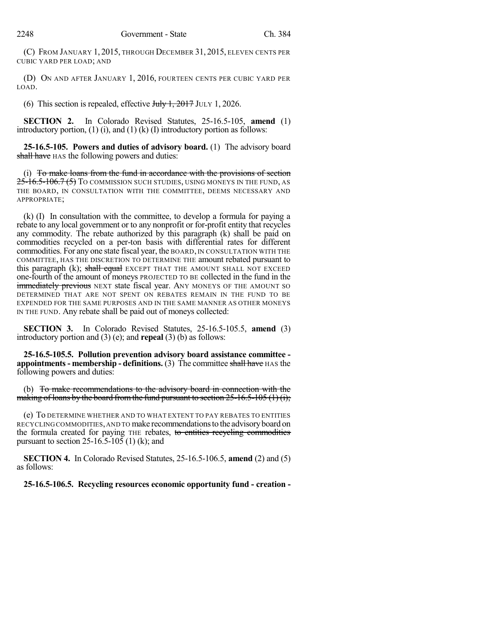(C) FROM JANUARY 1, 2015, THROUGH DECEMBER 31, 2015, ELEVEN CENTS PER CUBIC YARD PER LOAD; AND

(D) ON AND AFTER JANUARY 1, 2016, FOURTEEN CENTS PER CUBIC YARD PER LOAD.

(6) This section is repealed, effective  $J_{\text{t}}\rightarrow J_0 + J_1$  JULY 1, 2026.

**SECTION 2.** In Colorado Revised Statutes, 25-16.5-105, **amend** (1) introductory portion,  $(1)$   $(i)$ , and  $(1)$   $(k)$   $(l)$  introductory portion as follows:

**25-16.5-105. Powers and duties of advisory board.** (1) The advisory board shall have HAS the following powers and duties:

(i) To make loans from the fund in accordance with the provisions of section 25-16.5-106.7 (5) To commission such studies, using moneys in the fund, as THE BOARD, IN CONSULTATION WITH THE COMMITTEE, DEEMS NECESSARY AND APPROPRIATE;

(k) (I) In consultation with the committee, to develop a formula for paying a rebate to any local government or to any nonprofit or for-profit entity that recycles any commodity. The rebate authorized by this paragraph (k) shall be paid on commodities recycled on a per-ton basis with differential rates for different commodities. For any one state fiscal year, the BOARD, IN CONSULTATION WITH THE COMMITTEE, HAS THE DISCRETION TO DETERMINE THE amount rebated pursuant to this paragraph (k); shall equal EXCEPT THAT THE AMOUNT SHALL NOT EXCEED one-fourth of the amount of moneys PROJECTED TO BE collected in the fund in the immediately previous NEXT state fiscal year. ANY MONEYS OF THE AMOUNT SO DETERMINED THAT ARE NOT SPENT ON REBATES REMAIN IN THE FUND TO BE EXPENDED FOR THE SAME PURPOSES AND IN THE SAME MANNER AS OTHER MONEYS IN THE FUND. Any rebate shall be paid out of moneys collected:

**SECTION 3.** In Colorado Revised Statutes, 25-16.5-105.5, **amend** (3) introductory portion and (3) (e); and **repeal** (3) (b) as follows:

**25-16.5-105.5. Pollution prevention advisory board assistance committee appointments- membership - definitions.** (3) The committee shall have HAS the following powers and duties:

(b) To make recommendations to the advisory board in connection with the making of loans by the board from the fund pursuant to section  $25{\text -}16.5{\text -}105$  (1) (i);

(e) To DETERMINE WHETHER AND TO WHAT EXTENT TO PAY REBATES TO ENTITIES RECYCLING COMMODITIES,AND TO make recommendationsto the advisoryboard on the formula created for paying THE rebates, to entities recycling commodities pursuant to section  $25-16.5-105$  (1) (k); and

**SECTION 4.** In Colorado Revised Statutes, 25-16.5-106.5, **amend** (2) and (5) as follows:

**25-16.5-106.5. Recycling resources economic opportunity fund - creation -**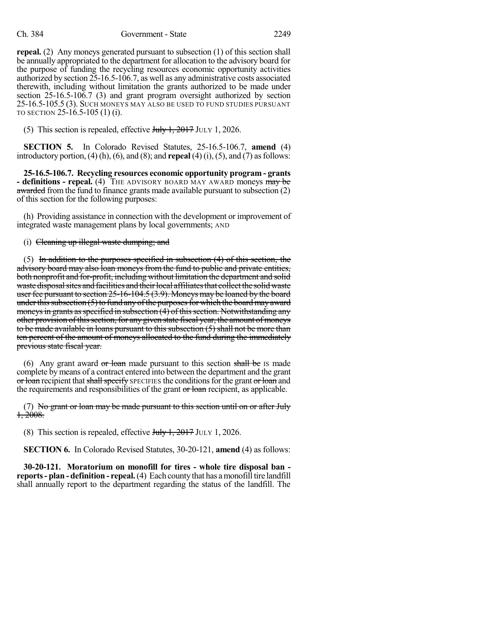## Ch. 384 Government - State 2249

**repeal.** (2) Any moneys generated pursuant to subsection (1) of this section shall be annually appropriated to the department for allocation to the advisory board for the purpose of funding the recycling resources economic opportunity activities authorized by section 25-16.5-106.7, as well as any administrative costs associated therewith, including without limitation the grants authorized to be made under section 25-16.5-106.7 (3) and grant program oversight authorized by section 25-16.5-105.5 (3). SUCH MONEYS MAY ALSO BE USED TO FUND STUDIES PURSUANT TO SECTION 25-16.5-105 (1) (i).

(5) This section is repealed, effective  $J_{\text{t}}\rightarrow J_0 + J_1$  JULY 1, 2026.

**SECTION 5.** In Colorado Revised Statutes, 25-16.5-106.7, **amend** (4) introductory portion,  $(4)$  (h),  $(6)$ , and  $(8)$ ; and **repeal**  $(4)$  (i),  $(5)$ , and  $(7)$  as follows:

**25-16.5-106.7. Recycling resources economic opportunity program - grants - definitions - repeal.** (4) THE ADVISORY BOARD MAY AWARD moneys may be awarded from the fund to finance grants made available pursuant to subsection (2) of this section for the following purposes:

(h) Providing assistance in connection with the development or improvement of integrated waste management plans by local governments; AND

## (i) Cleaning up illegal waste dumping; and

(5) In addition to the purposes specified in subsection  $(4)$  of this section, the advisory board may also loan moneys from the fund to public and private entities, both nonprofit and for-profit, including without limitation the department and solid waste disposal sites and facilities and their local affiliates that collect the solid waste user fee pursuant to section 25-16-104.5 (3.9). Moneys may be loaned by the board under this subsection  $(5)$  to fund any of the purposes for which the board may award moneys in grants as specified in subsection  $(4)$  of this section. Notwithstanding any other provision of this section, for any given state fiscal year, the amount of moneys to be made available in loans pursuant to this subsection (5) shall not be more than ten percent of the amount of moneys allocated to the fund during the immediately previous state fiscal year.

(6) Any grant award  $\sigma r$  loan made pursuant to this section shall be Is made complete by means of a contract entered into between the department and the grant or loan recipient that shall specify SPECIFIES the conditions for the grant or loan and the requirements and responsibilities of the grant or loan recipient, as applicable.

(7) No grant or loan may be made pursuant to this section until on or after July 1, 2008.

(8) This section is repealed, effective  $J_{\text{uly}}$  1, 2017 JULY 1, 2026.

**SECTION 6.** In Colorado Revised Statutes, 30-20-121, **amend** (4) as follows:

**30-20-121. Moratorium on monofill for tires - whole tire disposal ban reports- plan - definition - repeal.**(4) Each countythat has amonofill tire landfill shall annually report to the department regarding the status of the landfill. The